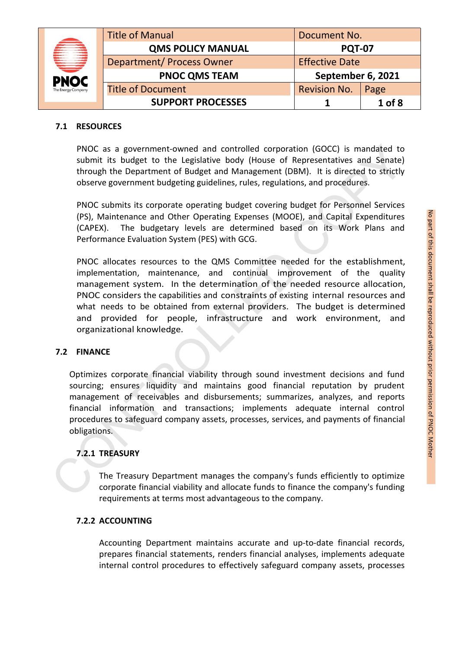|                    | <b>Title of Manual</b>           | Document No.          |        |
|--------------------|----------------------------------|-----------------------|--------|
|                    | <b>QMS POLICY MANUAL</b>         | <b>PQT-07</b>         |        |
| ₩                  | <b>Department/ Process Owner</b> | <b>Effective Date</b> |        |
| <b>PNOC</b>        | <b>PNOC QMS TEAM</b>             | September 6, 2021     |        |
| The Energy Company | <b>Title of Document</b>         | <b>Revision No.</b>   | Page   |
|                    | <b>SUPPORT PROCESSES</b>         |                       | 1 of 8 |

#### **7.1 RESOURCES**

PNOC as a government-owned and controlled corporation (GOCC) is mandated to submit its budget to the Legislative body (House of Representatives and Senate) through the Department of Budget and Management (DBM). It is directed to strictly observe government budgeting guidelines, rules, regulations, and procedures.

(PS), Maintenance and Other Operating Expenses (MOOE), and Capital Expenditures (CAPEX). The budgetary levels are determined based on its Work Plans and Performance Evaluation System (PES) with GCG.

PNOC submits its corporate operating budget covering budget for Personnel Services<br>
(CAPEX). The budgetary levels are determined based on its Work Plans and<br>
Performance Evaluation System (PES) with GCG.<br>
PNOC allocates re PNOC allocates resources to the QMS Committee needed for the establishment, implementation, maintenance, and continual improvement of the quality management system. In the determination of the needed resource allocation, PNOC considers the capabilities and constraints of existing internal resources and what needs to be obtained from external providers. The budget is determined and provided for people, infrastructure and work environment, and organizational knowledge. PNOC as a government-owned and controlled corporation (GOCC) is mandated to<br>submit its budget or the Legislative body (House of Representatives and Senate)<br>through the Department of Budget and Management (DBM). It is direc

# **7.2 FINANCE**

Optimizes corporate financial viability through sound investment decisions and fund sourcing; ensures liquidity and maintains good financial reputation by prudent management of receivables and disbursements; summarizes, analyzes, and reports financial information and transactions; implements adequate internal control procedures to safeguard company assets, processes, services, and payments of financial obligations.

# **7.2.1 TREASURY**

The Treasury Department manages the company's funds efficiently to optimize corporate financial viability and allocate funds to finance the company's funding requirements at terms most advantageous to the company.

# **7.2.2 ACCOUNTING**

Accounting Department maintains accurate and up-to-date financial records, prepares financial statements, renders financial analyses, implements adequate internal control procedures to effectively safeguard company assets, processes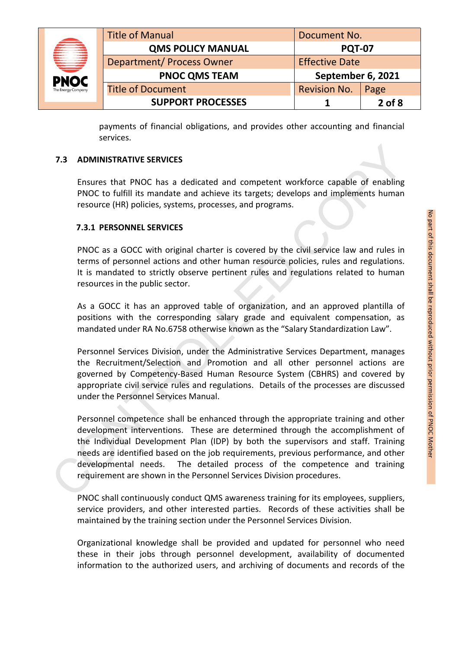| Ê<br>ب<br>پ        | <b>Title of Manual</b>    | Document No.          |            |
|--------------------|---------------------------|-----------------------|------------|
|                    | <b>QMS POLICY MANUAL</b>  | <b>PQT-07</b>         |            |
|                    | Department/ Process Owner | <b>Effective Date</b> |            |
| <b>PNOC</b>        | <b>PNOC QMS TEAM</b>      | September 6, 2021     |            |
| The Energy Company | <b>Title of Document</b>  | <b>Revision No.</b>   | Page       |
|                    | <b>SUPPORT PROCESSES</b>  |                       | $2$ of $8$ |

payments of financial obligations, and provides other accounting and financial services.

#### **7.3 ADMINISTRATIVE SERVICES**

Ensures that PNOC has a dedicated and competent workforce capable of enabling PNOC to fulfill its mandate and achieve its targets; develops and implements human resource (HR) policies, systems, processes, and programs.

#### **7.3.1 PERSONNEL SERVICES**

terms of personnel actions and other human resource policies, rules and regulations. It is mandated to strictly observe pertinent rules and regulations related to human resources in the public sector.

As a GOCC it has an approved table of organization, and an approved plantilla of positions with the corresponding salary grade and equivalent compensation, as mandated under RA No.6758 otherwise known as the "Salary Standardization Law".

7.3.1 PERSONNEL SERVICES<br>
PNOC as a GOCC with original charter is covered by the civil service law and rules in<br>
terms of personnel actions and other human resource policies, rules and regulations.<br>
It is mandated to stri Personnel Services Division, under the Administrative Services Department, manages the Recruitment/Selection and Promotion and all other personnel actions are governed by Competency-Based Human Resource System (CBHRS) and covered by appropriate civil service rules and regulations. Details of the processes are discussed under the Personnel Services Manual.

Personnel competence shall be enhanced through the appropriate training and other development interventions. These are determined through the accomplishment of the Individual Development Plan (IDP) by both the supervisors and staff. Training needs are identified based on the job requirements, previous performance, and other developmental needs. The detailed process of the competence and training requirement are shown in the Personnel Services Division procedures. 7.3 ADMINISTRATIVE SERVICES<br>
Ensures that PNOC has a dedicated and competent workforce capable of enabling<br>
PNOC to fulfill its mandate and achieve its targets; develops and implements human<br>
resource (HR) policies, system

PNOC shall continuously conduct QMS awareness training for its employees, suppliers, service providers, and other interested parties. Records of these activities shall be maintained by the training section under the Personnel Services Division.

Organizational knowledge shall be provided and updated for personnel who need these in their jobs through personnel development, availability of documented information to the authorized users, and archiving of documents and records of the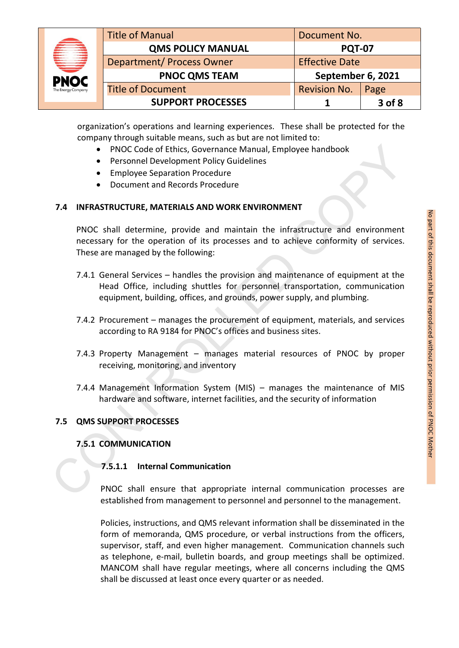|                    | <b>Title of Manual</b>           | Document No.          |        |
|--------------------|----------------------------------|-----------------------|--------|
| A                  | <b>QMS POLICY MANUAL</b>         | <b>PQT-07</b>         |        |
| ₩                  | <b>Department/ Process Owner</b> | <b>Effective Date</b> |        |
| <b>PNOC</b>        | <b>PNOC QMS TEAM</b>             | September 6, 2021     |        |
| The Energy Company | <b>Title of Document</b>         | <b>Revision No.</b>   | Page   |
|                    | <b>SUPPORT PROCESSES</b>         |                       | 3 of 8 |

organization's operations and learning experiences. These shall be protected for the company through suitable means, such as but are not limited to:

- PNOC Code of Ethics, Governance Manual, Employee handbook
- Personnel Development Policy Guidelines
- **•** Employee Separation Procedure
- Document and Records Procedure

# **7.4 INFRASTRUCTURE, MATERIALS AND WORK ENVIRONMENT**

necessary for the operation of its processes and to achieve conformity of services. These are managed by the following:

- PNOC shall determine, provide and maintain the infrastructure and environment<br>
These are managed by the following:<br>
These are managed by the following:<br>
These are managed by the following:<br>
T.4.1 General Services handles 7.4.1 General Services – handles the provision and maintenance of equipment at the Head Office, including shuttles for personnel transportation, communication equipment, building, offices, and grounds, power supply, and plumbing. • PNOC Code of Ethics, Governance Manual, Employee handbook<br>• Personnel Development Policy Guidelines<br>• Employee Separation Procedure<br>• Document and Records Procedure<br>• Document and Records Procedure<br>• Document and Records
	- 7.4.2 Procurement manages the procurement of equipment, materials, and services according to RA 9184 for PNOC's offices and business sites.
	- 7.4.3 Property Management manages material resources of PNOC by proper receiving, monitoring, and inventory
	- 7.4.4 Management Information System (MIS) manages the maintenance of MIS hardware and software, internet facilities, and the security of information

# **7.5 QMS SUPPORT PROCESSES**

# **7.5.1 COMMUNICATION**

# **7.5.1.1 Internal Communication**

PNOC shall ensure that appropriate internal communication processes are established from management to personnel and personnel to the management.

Policies, instructions, and QMS relevant information shall be disseminated in the form of memoranda, QMS procedure, or verbal instructions from the officers, supervisor, staff, and even higher management. Communication channels such as telephone, e-mail, bulletin boards, and group meetings shall be optimized. MANCOM shall have regular meetings, where all concerns including the QMS shall be discussed at least once every quarter or as needed.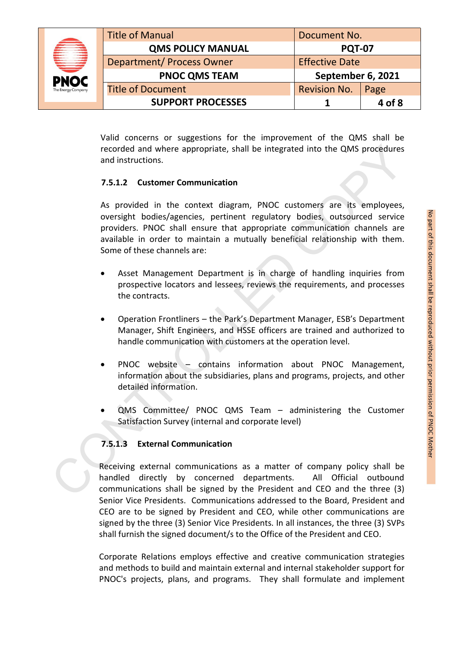|                    | <b>Title of Manual</b>           | Document No.          |        |
|--------------------|----------------------------------|-----------------------|--------|
|                    | <b>QMS POLICY MANUAL</b>         | <b>PQT-07</b>         |        |
| ₩                  | <b>Department/ Process Owner</b> | <b>Effective Date</b> |        |
| <b>PNOC</b>        | <b>PNOC QMS TEAM</b>             | September 6, 2021     |        |
| The Energy Company | <b>Title of Document</b>         | <b>Revision No.</b>   | Page   |
|                    | <b>SUPPORT PROCESSES</b>         |                       | 4 of 8 |

Valid concerns or suggestions for the improvement of the QMS shall be recorded and where appropriate, shall be integrated into the QMS procedures and instructions.

# **7.5.1.2 Customer Communication**

As provided in the context diagram, PNOC customers are its employees,<br>
oversight bodies/agencies, pertinent regulatory bodies, outsourced service<br>
providers. PNOC shall ensure that appropriate communication channels are<br> oversight bodies/agencies, pertinent regulatory bodies, outsourced service providers. PNOC shall ensure that appropriate communication channels are available in order to maintain a mutually beneficial relationship with them. Some of these channels are: recorded and where appropriate, shall be integrated into the QMS procedures<br>
2.5.1.2 Customer Communication<br>
2.5.1.2 Customer Communication<br>
As provided in the context diagram, PNOC customers are its employees<br>
oversight b

- Asset Management Department is in charge of handling inquiries from prospective locators and lessees, reviews the requirements, and processes the contracts.
- Operation Frontliners the Park's Department Manager, ESB's Department Manager, Shift Engineers, and HSSE officers are trained and authorized to handle communication with customers at the operation level.
- PNOC website contains information about PNOC Management, information about the subsidiaries, plans and programs, projects, and other detailed information.
- QMS Committee/ PNOC QMS Team administering the Customer Satisfaction Survey (internal and corporate level)

# **7.5.1.3 External Communication**

Receiving external communications as a matter of company policy shall be handled directly by concerned departments. All Official outbound communications shall be signed by the President and CEO and the three (3) Senior Vice Presidents. Communications addressed to the Board, President and CEO are to be signed by President and CEO, while other communications are signed by the three (3) Senior Vice Presidents. In all instances, the three (3) SVPs shall furnish the signed document/s to the Office of the President and CEO.

Corporate Relations employs effective and creative communication strategies and methods to build and maintain external and internal stakeholder support for PNOC's projects, plans, and programs. They shall formulate and implement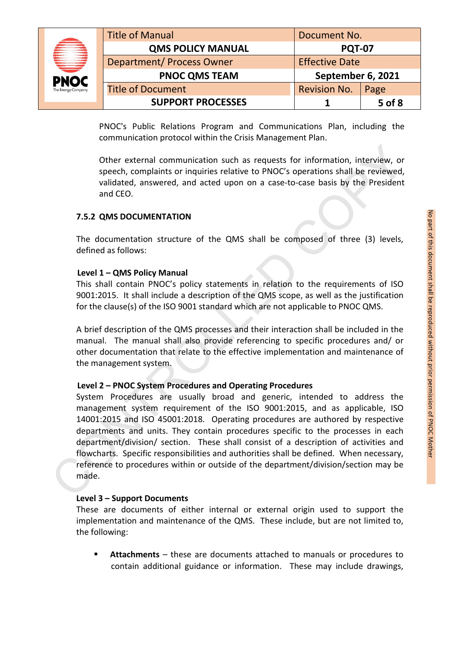|                    | <b>Title of Manual</b>           | Document No.          |        |
|--------------------|----------------------------------|-----------------------|--------|
| A                  | <b>QMS POLICY MANUAL</b>         | <b>PQT-07</b>         |        |
| ₩                  | <b>Department/ Process Owner</b> | <b>Effective Date</b> |        |
| <b>PNOC</b>        | <b>PNOC QMS TEAM</b>             | September 6, 2021     |        |
| The Energy Company | <b>Title of Document</b>         | <b>Revision No.</b>   | Page   |
|                    | <b>SUPPORT PROCESSES</b>         |                       | 5 of 8 |

PNOC's Public Relations Program and Communications Plan, including the communication protocol within the Crisis Management Plan.

Other external communication such as requests for information, interview, or speech, complaints or inquiries relative to PNOC's operations shall be reviewed, validated, answered, and acted upon on acase-to-case basis by the President and CEO.

#### **7.5.2 QMS DOCUMENTATION**

defined as follows:

#### **Level 1 – QMS Policy Manual**

This shall contain PNOC's policy statements in relation to the requirements of ISO 9001:2015. It shall include a description of the QMS scope, as well as the justification for the clause(s) of the ISO 9001 standard which are not applicable to PNOC QMS.

A brief description of the QMS processes and their interaction shall be included in the manual. The manual shall also provide referencing to specific procedures and/ or other documentation that relate to the effective implementation and maintenance of the management system.

#### **Level 2 – PNOC System Procedures and Operating Procedures**

7.5.2 QMS DOCUMENTATION<br>
The documentation structure of the QMS shall be composed of three (3) levels,<br>
defined as follows:<br>
Level 1 – QMS Policy Manual<br>
This shall contain PNOC's policy statements in relation to the requ System Procedures are usually broad and generic, intended to address the management system requirement of the ISO 9001:2015, and as applicable, ISO 14001:2015 and ISO 45001:2018. Operating procedures are authored by respective departments and units. They contain procedures specific to the processes in each department/division/ section. These shall consist of a description of activities and flowcharts. Specific responsibilities and authorities shall be defined. When necessary, reference to procedures within or outside of the department/division/section may be made. Other external communication such as requests for information, interview, or<br>speech, complaints or inquiries relative to PNOC's operations shall be reviewed,<br>validated, answered, and acted upon on a case-to-case basis by t

#### **Level 3 – Support Documents**

These are documents of either internal or external origin used to support the implementation and maintenance of the QMS. These include, but are not limited to, the following:

 **Attachments** – these are documents attached to manuals or procedures to contain additional guidance or information. These may include drawings,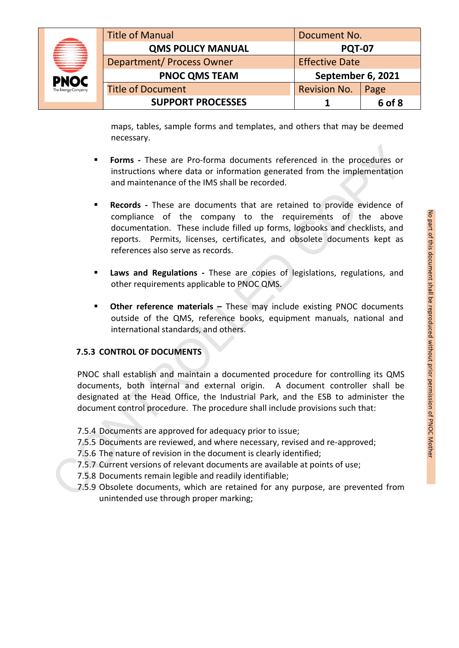|                    | <b>Title of Manual</b>           | Document No.          |        |
|--------------------|----------------------------------|-----------------------|--------|
| ≘                  | <b>QMS POLICY MANUAL</b>         | <b>PQT-07</b>         |        |
| ₩                  | <b>Department/ Process Owner</b> | <b>Effective Date</b> |        |
| <b>PNOC</b>        | <b>PNOC QMS TEAM</b>             | September 6, 2021     |        |
| The Energy Company | <b>Title of Document</b>         | <b>Revision No.</b>   | Page   |
|                    | <b>SUPPORT PROCESSES</b>         |                       | 6 of 8 |

**September 6, 2021 SUPPORT PROCESSES** Revision No. Page **1 6 of 8**

maps, tables, sample forms and templates, and others that may be deemed necessary.

- **Forms -** These are Pro-forma documents referenced in the procedures or instructions where data or information generated from the implementation and maintenance of the IMS shall be recorded.
- **Records** These are documents that are retained to provide evidence of<br>
documentation. These include filled up forms, logbooks and checklists, and<br>
reports. Permits, licenses, certificates, and obsolete documents kept as compliance of the company to the requirements of the above documentation. These include filled up forms, logbooks and checklists, and reports. Permits, licenses, certificates, and obsolete documents kept as references also serve as records.erenced in the procedures or<br>ated from the implementation<br>ained to provide evidence of<br>equirements of the above<br>i, logbooks and checklists, and<br>obsolete documents kept as
- **Laws and Regulations -** These are copies of legislations, regulations, and other requirements applicable to PNOC QMS.
- **Other reference materials –** These may include existing PNOC documents outside of the QMS, reference books, equipment manuals, national and international standards, and others.

# **7.5.3 CONTROL OF DOCUMENTS**

PNOC shall establish and maintain a documented procedure for controlling its QMS documents, both internal and external origin. A document controller shall be designated at the Head Office, the Industrial Park, and the ESB to administer the document control procedure. The procedure shall include provisions such that: rerences also serve as records.<br> **Example 18 and Regulations - These are copies of legisl<br>
other requirements applicable to PNOC QMS.<br>
• Other reference materials – These may include ex<br>
outside of the QMS, reference books** 

- 7.5.4 Documents are approved for adequacy prior to issue;
- 7.5.5 Documents are reviewed, and where necessary, revised and re-approved;
- 7.5.6 The nature of revision in the document is clearly identified;
- 7.5.7 Current versions of relevant documents are available at points of use;
- 7.5.8 Documents remain legible and readily identifiable;
- 7.5.9 Obsolete documents, which are retained for any purpose, are prevented from unintended use through proper marking;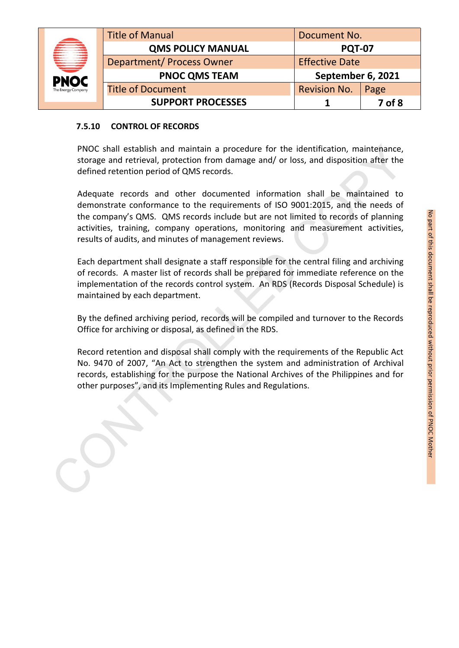|   |                          | <b>Title of Manual</b>           | Document No.          |        |
|---|--------------------------|----------------------------------|-----------------------|--------|
| ≘ | <b>QMS POLICY MANUAL</b> | <b>PQT-07</b>                    |                       |        |
|   | €₹                       | <b>Department/ Process Owner</b> | <b>Effective Date</b> |        |
|   | <b>PNOC</b>              | <b>PNOC QMS TEAM</b>             | September 6, 2021     |        |
|   | The Energy Company       | <b>Title of Document</b>         | <b>Revision No.</b>   | Page   |
|   |                          | <b>SUPPORT PROCESSES</b>         |                       | 7 of 8 |

#### **7.5.10 CONTROL OF RECORDS**

PNOC shall establish and maintain a procedure for the identification, maintenance, storage and retrieval, protection from damage and/ or loss, and disposition after the defined retention period of QMS records.

Adequate records and other documented information shall be maintained to the company's QMS. QMS records include but are not limited to records of planning activities, training, company operations, monitoring and measurement activities, results of audits, and minutes of management reviews. PNOC shall establish and maintain a procedure for the identification, maintenance,<br>strage and retirival, protection from damage and/ or loss, and disposition after the<br>defined retention period of QMS records.<br>Adequate reco

demonstrate conformance to the requirements of ISO 9001:2015, and the needs of<br>the company's QMS: QMS records include but are not limited to records of planning<br>activities, training, company operations, monitoring and meas Each department shall designate a staff responsible for the central filing and archiving of records. A master list of records shall be prepared for immediate reference on the implementation of the records control system. An RDS (Records Disposal Schedule) is maintained by each department.

By the defined archiving period, records will be compiled and turnover to the Records Office for archiving or disposal, as defined in the RDS.

Record retention and disposal shall comply with the requirements of the Republic Act No. 9470 of 2007, "An Act to strengthen the system and administration of Archival records, establishing for the purpose the National Archives of the Philippines and for other purposes", and its Implementing Rules and Regulations.